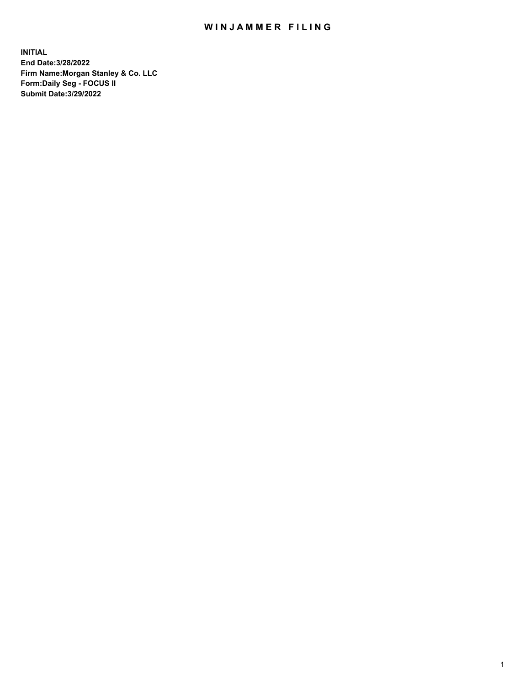## WIN JAMMER FILING

**INITIAL End Date:3/28/2022 Firm Name:Morgan Stanley & Co. LLC Form:Daily Seg - FOCUS II Submit Date:3/29/2022**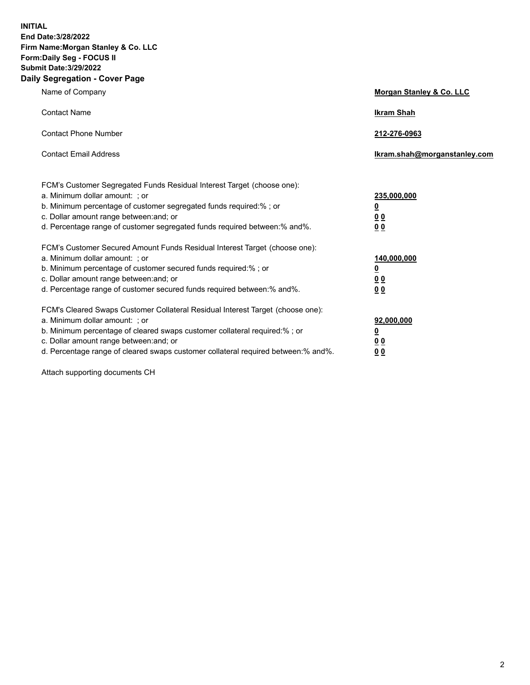**INITIAL End Date:3/28/2022 Firm Name:Morgan Stanley & Co. LLC Form:Daily Seg - FOCUS II Submit Date:3/29/2022 Daily Segregation - Cover Page**

| Name of Company                                                                                                                                                                                                                                                                                                                | Morgan Stanley & Co. LLC                               |
|--------------------------------------------------------------------------------------------------------------------------------------------------------------------------------------------------------------------------------------------------------------------------------------------------------------------------------|--------------------------------------------------------|
| <b>Contact Name</b>                                                                                                                                                                                                                                                                                                            | <b>Ikram Shah</b>                                      |
| <b>Contact Phone Number</b>                                                                                                                                                                                                                                                                                                    | 212-276-0963                                           |
| <b>Contact Email Address</b>                                                                                                                                                                                                                                                                                                   | Ikram.shah@morganstanley.com                           |
| FCM's Customer Segregated Funds Residual Interest Target (choose one):<br>a. Minimum dollar amount: ; or<br>b. Minimum percentage of customer segregated funds required:% ; or<br>c. Dollar amount range between: and; or<br>d. Percentage range of customer segregated funds required between:% and%.                         | 235,000,000<br><u>0</u><br>0 <sup>0</sup><br><u>00</u> |
| FCM's Customer Secured Amount Funds Residual Interest Target (choose one):<br>a. Minimum dollar amount: ; or<br>b. Minimum percentage of customer secured funds required:% ; or<br>c. Dollar amount range between: and; or<br>d. Percentage range of customer secured funds required between:% and%.                           | 140,000,000<br><u>0</u><br><u>00</u><br>00             |
| FCM's Cleared Swaps Customer Collateral Residual Interest Target (choose one):<br>a. Minimum dollar amount: ; or<br>b. Minimum percentage of cleared swaps customer collateral required:% ; or<br>c. Dollar amount range between: and; or<br>d. Percentage range of cleared swaps customer collateral required between:% and%. | 92,000,000<br><u>0</u><br><u>00</u><br>00              |

Attach supporting documents CH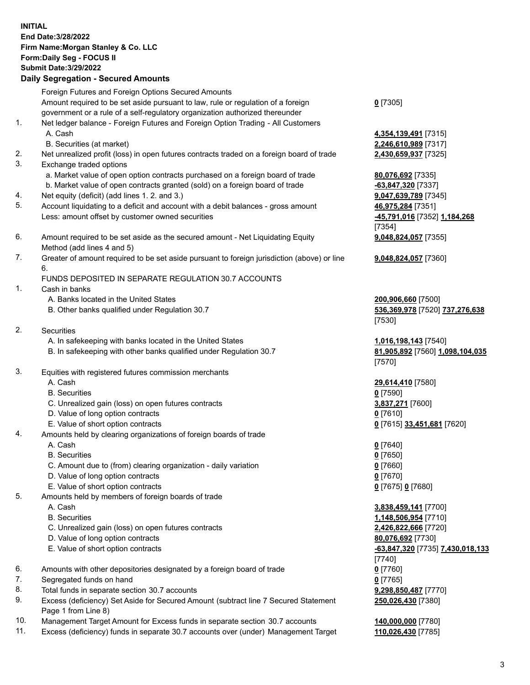## **INITIAL End Date:3/28/2022 Firm Name:Morgan Stanley & Co. LLC Form:Daily Seg - FOCUS II Submit Date:3/29/2022 Daily Segregation - Secured Amounts** Foreign Futures and Foreign Options Secured Amounts Amount required to be set aside pursuant to law, rule or regulation of a foreign government or a rule of a self-regulatory organization authorized thereunder **0** [7305] 1. Net ledger balance - Foreign Futures and Foreign Option Trading - All Customers A. Cash **4,354,139,491** [7315] B. Securities (at market) **2,246,610,989** [7317] 2. Net unrealized profit (loss) in open futures contracts traded on a foreign board of trade **2,430,659,937** [7325] 3. Exchange traded options a. Market value of open option contracts purchased on a foreign board of trade **80,076,692** [7335] b. Market value of open contracts granted (sold) on a foreign board of trade **-63,847,320** [7337] 4. Net equity (deficit) (add lines 1. 2. and 3.) **9,047,639,789** [7345] 5. Account liquidating to a deficit and account with a debit balances - gross amount **46,975,284** [7351] Less: amount offset by customer owned securities **-45,791,016** [7352] **1,184,268** [7354] 6. Amount required to be set aside as the secured amount - Net Liquidating Equity Method (add lines 4 and 5) **9,048,824,057** [7355] 7. Greater of amount required to be set aside pursuant to foreign jurisdiction (above) or line 6. **9,048,824,057** [7360] FUNDS DEPOSITED IN SEPARATE REGULATION 30.7 ACCOUNTS 1. Cash in banks A. Banks located in the United States **200,906,660** [7500] B. Other banks qualified under Regulation 30.7 **536,369,978** [7520] **737,276,638** [7530] 2. Securities A. In safekeeping with banks located in the United States **1,016,198,143** [7540] B. In safekeeping with other banks qualified under Regulation 30.7 **81,905,892** [7560] **1,098,104,035** [7570] 3. Equities with registered futures commission merchants A. Cash **29,614,410** [7580] B. Securities **0** [7590] C. Unrealized gain (loss) on open futures contracts **3,837,271** [7600] D. Value of long option contracts **0** [7610] E. Value of short option contracts **0** [7615] **33,451,681** [7620] 4. Amounts held by clearing organizations of foreign boards of trade A. Cash **0** [7640] B. Securities **0** [7650] C. Amount due to (from) clearing organization - daily variation **0** [7660] D. Value of long option contracts **0** [7670] E. Value of short option contracts **0** [7675] **0** [7680] 5. Amounts held by members of foreign boards of trade A. Cash **3,838,459,141** [7700] B. Securities **1,148,506,954** [7710] C. Unrealized gain (loss) on open futures contracts **2,426,822,666** [7720] D. Value of long option contracts **80,076,692** [7730] E. Value of short option contracts **-63,847,320** [7735] **7,430,018,133** [7740] 6. Amounts with other depositories designated by a foreign board of trade **0** [7760]

- 7. Segregated funds on hand **0** [7765]
- 8. Total funds in separate section 30.7 accounts **9,298,850,487** [7770]
- 9. Excess (deficiency) Set Aside for Secured Amount (subtract line 7 Secured Statement Page 1 from Line 8)
- 10. Management Target Amount for Excess funds in separate section 30.7 accounts **140,000,000** [7780]
- 11. Excess (deficiency) funds in separate 30.7 accounts over (under) Management Target **110,026,430** [7785]

**250,026,430** [7380]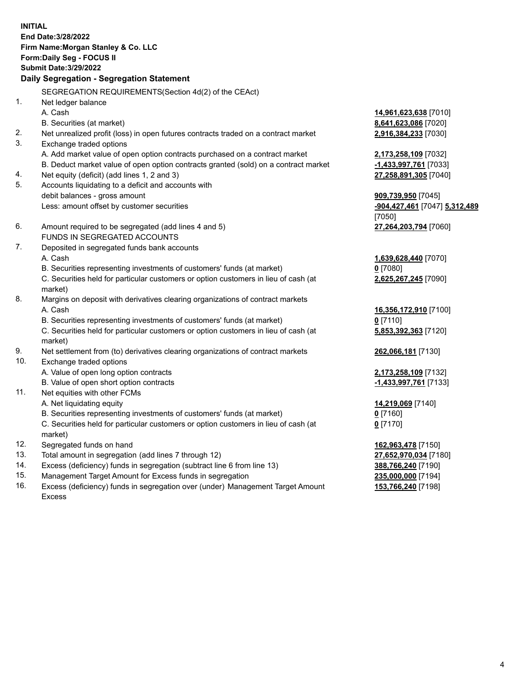**INITIAL End Date:3/28/2022 Firm Name:Morgan Stanley & Co. LLC Form:Daily Seg - FOCUS II Submit Date:3/29/2022 Daily Segregation - Segregation Statement** SEGREGATION REQUIREMENTS(Section 4d(2) of the CEAct) 1. Net ledger balance A. Cash **14,961,623,638** [7010] B. Securities (at market) **8,641,623,086** [7020] 2. Net unrealized profit (loss) in open futures contracts traded on a contract market **2,916,384,233** [7030] 3. Exchange traded options A. Add market value of open option contracts purchased on a contract market **2,173,258,109** [7032] B. Deduct market value of open option contracts granted (sold) on a contract market **-1,433,997,761** [7033] 4. Net equity (deficit) (add lines 1, 2 and 3) **27,258,891,305** [7040] 5. Accounts liquidating to a deficit and accounts with debit balances - gross amount **909,739,950** [7045] Less: amount offset by customer securities **-904,427,461** [7047] **5,312,489** [7050] 6. Amount required to be segregated (add lines 4 and 5) **27,264,203,794** [7060] FUNDS IN SEGREGATED ACCOUNTS 7. Deposited in segregated funds bank accounts A. Cash **1,639,628,440** [7070] B. Securities representing investments of customers' funds (at market) **0** [7080] C. Securities held for particular customers or option customers in lieu of cash (at market) **2,625,267,245** [7090] 8. Margins on deposit with derivatives clearing organizations of contract markets A. Cash **16,356,172,910** [7100] B. Securities representing investments of customers' funds (at market) **0** [7110] C. Securities held for particular customers or option customers in lieu of cash (at market) **5,853,392,363** [7120] 9. Net settlement from (to) derivatives clearing organizations of contract markets **262,066,181** [7130] 10. Exchange traded options A. Value of open long option contracts **2,173,258,109** [7132] B. Value of open short option contracts **-1,433,997,761** [7133] 11. Net equities with other FCMs A. Net liquidating equity **14,219,069** [7140] B. Securities representing investments of customers' funds (at market) **0** [7160] C. Securities held for particular customers or option customers in lieu of cash (at market) **0** [7170] 12. Segregated funds on hand **162,963,478** [7150] 13. Total amount in segregation (add lines 7 through 12) **27,652,970,034** [7180] 14. Excess (deficiency) funds in segregation (subtract line 6 from line 13) **388,766,240** [7190] 15. Management Target Amount for Excess funds in segregation **235,000,000** [7194]

16. Excess (deficiency) funds in segregation over (under) Management Target Amount Excess

**153,766,240** [7198]